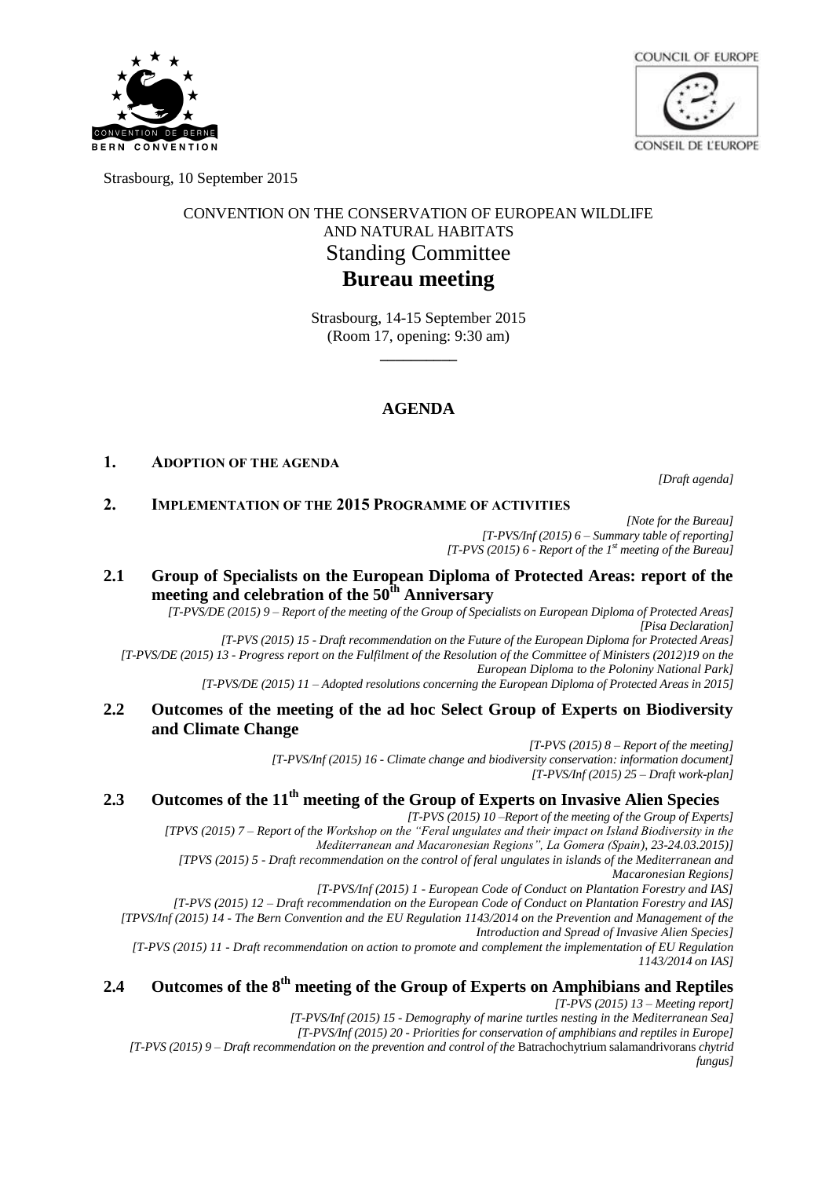



Strasbourg, 10 September 2015

## CONVENTION ON THE CONSERVATION OF EUROPEAN WILDLIFE AND NATURAL HABITATS Standing Committee **Bureau meeting**

Strasbourg, 14-15 September 2015 (Room 17, opening: 9:30 am) **\_\_\_\_\_\_\_\_\_\_**

## **AGENDA**

#### **1. ADOPTION OF THE AGENDA**

*[Draft agenda]*

#### **2. IMPLEMENTATION OF THE 2015 PROGRAMME OF ACTIVITIES**

*[Note for the Bureau] [T-PVS/Inf (2015) 6 – Summary table of reporting] [T-PVS (2015) 6 - Report of the 1st meeting of the Bureau]*

## **2.1 Group of Specialists on the European Diploma of Protected Areas: report of the meeting and celebration of the 50th Anniversary**

*[T-PVS/DE (2015) 9 – Report of the meeting of the Group of Specialists on European Diploma of Protected Areas] [Pisa Declaration]*

*[T-PVS (2015) 15 - Draft recommendation on the Future of the European Diploma for Protected Areas] [T-PVS/DE (2015) 13 - Progress report on the Fulfilment of the Resolution of the Committee of Ministers (2012)19 on the European Diploma to the Poloniny National Park]*

*[T-PVS/DE (2015) 11 – Adopted resolutions concerning the European Diploma of Protected Areas in 2015]*

#### **2.2 Outcomes of the meeting of the ad hoc Select Group of Experts on Biodiversity and Climate Change**

*[T-PVS (2015) 8 – Report of the meeting] [T-PVS/Inf (2015) 16 - Climate change and biodiversity conservation: information document] [T-PVS/Inf (2015) 25 – Draft work-plan]*

## **2.3 Outcomes of the 11th meeting of the Group of Experts on Invasive Alien Species**

*[T-PVS (2015) 10 –Report of the meeting of the Group of Experts] [TPVS (2015) 7 – Report of the Workshop on the "Feral ungulates and their impact on Island Biodiversity in the Mediterranean and Macaronesian Regions", La Gomera (Spain), 23-24.03.2015)]*

*[TPVS (2015) 5 - Draft recommendation on the control of feral ungulates in islands of the Mediterranean and Macaronesian Regions]*

*[T-PVS/Inf (2015) 1 - European Code of Conduct on Plantation Forestry and IAS]*

*[T-PVS (2015) 12 – Draft recommendation on the European Code of Conduct on Plantation Forestry and IAS] [TPVS/Inf (2015) 14 - The Bern Convention and the EU Regulation 1143/2014 on the Prevention and Management of the* 

*Introduction and Spread of Invasive Alien Species]*

*[T-PVS (2015) 11 - Draft recommendation on action to promote and complement the implementation of EU Regulation 1143/2014 on IAS]*

# **2.4 Outcomes of the 8th meeting of the Group of Experts on Amphibians and Reptiles**

*[T-PVS (2015) 13 – Meeting report]*

*[T-PVS/Inf (2015) 15 - Demography of marine turtles nesting in the Mediterranean Sea] [T-PVS/Inf (2015) 20 - Priorities for conservation of amphibians and reptiles in Europe]*

*[T-PVS (2015) 9 – Draft recommendation on the prevention and control of the* Batrachochytrium salamandrivorans *chytrid fungus]*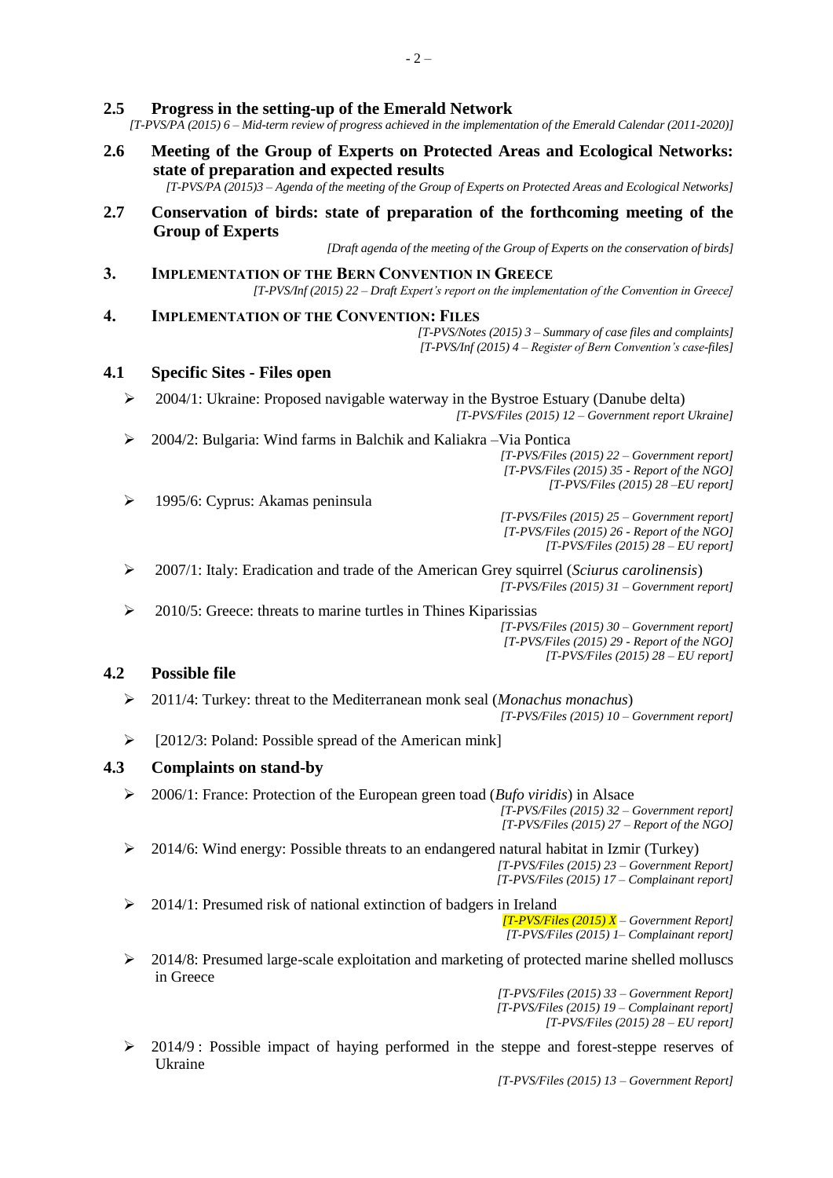#### **2.5 Progress in the setting-up of the Emerald Network**

*[T-PVS/PA (2015) 6 – Mid-term review of progress achieved in the implementation of the Emerald Calendar (2011-2020)]*

**2.6 Meeting of the Group of Experts on Protected Areas and Ecological Networks: state of preparation and expected results**

*[T-PVS/PA (2015)3 – Agenda of the meeting of the Group of Experts on Protected Areas and Ecological Networks]*

**2.7 Conservation of birds: state of preparation of the forthcoming meeting of the Group of Experts**

*[Draft agenda of the meeting of the Group of Experts on the conservation of birds]*

- **3. IMPLEMENTATION OF THE BERN CONVENTION IN GREECE** *[T-PVS/Inf (2015) 22 – Draft Expert's report on the implementation of the Convention in Greece]*
- **4. IMPLEMENTATION OF THE CONVENTION: FILES**

*[T-PVS/Notes (2015) 3 – Summary of case files and complaints] [T-PVS/Inf (2015) 4 – Register of Bern Convention's case-files]*

#### **4.1 Specific Sites - Files open**

- 2004/1: Ukraine: Proposed navigable waterway in the Bystroe Estuary (Danube delta) *[T-PVS/Files (2015) 12 – Government report Ukraine]*
- 2004/2: Bulgaria: Wind farms in Balchik and Kaliakra –Via Pontica

*[T-PVS/Files (2015) 22 – Government report] [T-PVS/Files (2015) 35 - Report of the NGO] [T-PVS/Files (2015) 28 –EU report]*

1995/6: Cyprus: Akamas peninsula

*[T-PVS/Files (2015) 25 – Government report] [T-PVS/Files (2015) 26 - Report of the NGO] [T-PVS/Files (2015) 28 – EU report]*

 2007/1: Italy: Eradication and trade of the American Grey squirrel (*Sciurus carolinensis*) *[T-PVS/Files (2015) 31 – Government report]*

 $\geq$  2010/5: Greece: threats to marine turtles in Thines Kiparissias

*[T-PVS/Files (2015) 30 – Government report] [T-PVS/Files (2015) 29 - Report of the NGO] [T-PVS/Files (2015) 28 – EU report]*

#### **4.2 Possible file**

2011/4: Turkey: threat to the Mediterranean monk seal (*Monachus monachus*)

*[T-PVS/Files (2015) 10 – Government report]*

 $\triangleright$  [2012/3: Poland: Possible spread of the American mink]

#### **4.3 Complaints on stand-by**

2006/1: France: Protection of the European green toad (*Bufo viridis*) in Alsace

*[T-PVS/Files (2015) 32 – Government report] [T-PVS/Files (2015) 27 – Report of the NGO]*

 $\geq$  2014/6: Wind energy: Possible threats to an endangered natural habitat in Izmir (Turkey) *[T-PVS/Files (2015) 23 – Government Report]* 

*[T-PVS/Files (2015) 17 – Complainant report]*

 $\geq$  2014/1: Presumed risk of national extinction of badgers in Ireland

*[T-PVS/Files (2015) X – Government Report] [T-PVS/Files (2015) 1– Complainant report]*

 $\geq 2014/8$ : Presumed large-scale exploitation and marketing of protected marine shelled molluscs in Greece

> *[T-PVS/Files (2015) 33 – Government Report] [T-PVS/Files (2015) 19 – Complainant report] [T-PVS/Files (2015) 28 – EU report]*

 $\geq$  2014/9 : Possible impact of haying performed in the steppe and forest-steppe reserves of Ukraine

*[T-PVS/Files (2015) 13 – Government Report]*